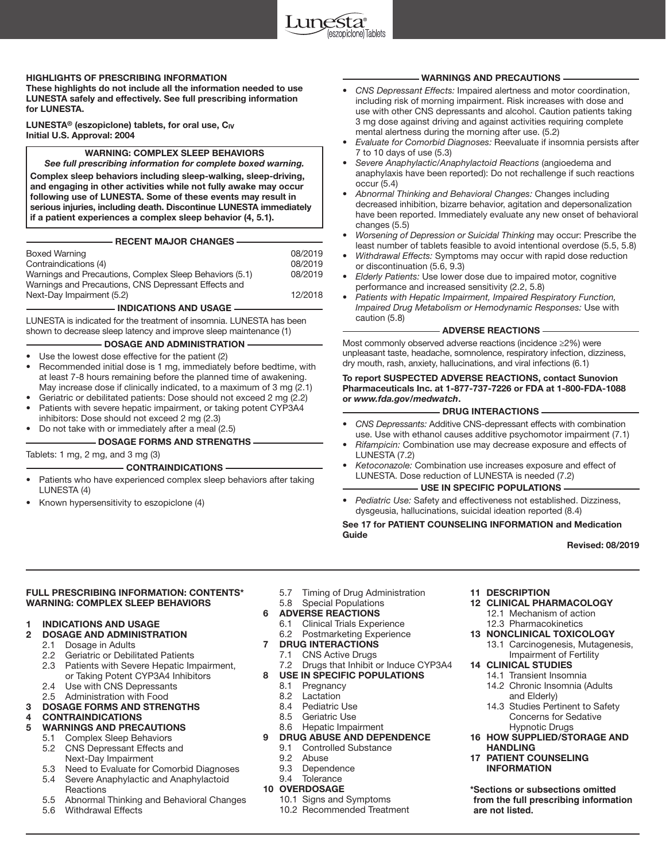

#### **HIGHLIGHTS OF PRESCRIBING INFORMATION**

**These highlights do not include all the information needed to use LUNESTA safely and effectively. See full prescribing information for LUNESTA.**

**LUNESTA® (eszopiclone) tablets, for oral use, CIV Initial U.S. Approval: 2004**

## **WARNING: COMPLEX SLEEP BEHAVIORS**

*See full prescribing information for complete boxed warning.* **Complex sleep behaviors including sleep-walking, sleep-driving, and engaging in other activities while not fully awake may occur following use of LUNESTA. Some of these events may result in serious injuries, including death. Discontinue LUNESTA immediately if a patient experiences a complex sleep behavior (4, 5.1).**

#### **RECENT MAJOR CHANGES**

| <b>Boxed Warning</b>                                    | 08/2019<br>08/2019 |
|---------------------------------------------------------|--------------------|
| Contraindications (4)                                   |                    |
| Warnings and Precautions, Complex Sleep Behaviors (5.1) | 08/2019            |
| Warnings and Precautions, CNS Depressant Effects and    |                    |
| Next-Day Impairment (5.2)                               | 12/2018            |

#### **INDICATIONS AND USAGE**

LUNESTA is indicated for the treatment of insomnia. LUNESTA has been shown to decrease sleep latency and improve sleep maintenance (1)

# **DOSAGE AND ADMINISTRATION**

- Use the lowest dose effective for the patient (2)
- Recommended initial dose is 1 mg, immediately before bedtime, with at least 7-8 hours remaining before the planned time of awakening. May increase dose if clinically indicated, to a maximum of 3 mg (2.1)
- Geriatric or debilitated patients: Dose should not exceed 2 mg (2.2)
- Patients with severe hepatic impairment, or taking potent CYP3A4 inhibitors: Dose should not exceed 2 mg (2.3)
- Do not take with or immediately after a meal (2.5)

# **DOSAGE FORMS AND STRENGTHS**

Tablets: 1 mg, 2 mg, and 3 mg (3)

# **CONTRAINDICATIONS**

- Patients who have experienced complex sleep behaviors after taking LUNESTA (4)
- Known hypersensitivity to eszopiclone (4)

## **WARNINGS AND PRECAUTIONS**

- CNS Depressant Effects: Impaired alertness and motor coordination, including risk of morning impairment. Risk increases with dose and use with other CNS depressants and alcohol. Caution patients taking 3 mg dose against driving and against activities requiring complete mental alertness during the morning after use. (5.2)
- Evaluate for Comorbid Diagnoses: Reevaluate if insomnia persists after 7 to 10 days of use (5.3)
- Severe Anaphylactic/Anaphylactoid Reactions (angioedema and anaphylaxis have been reported): Do not rechallenge if such reactions occur (5.4)
- Abnormal Thinking and Behavioral Changes: Changes including decreased inhibition, bizarre behavior, agitation and depersonalization have been reported. Immediately evaluate any new onset of behavioral changes (5.5)
- Worsening of Depression or Suicidal Thinking may occur: Prescribe the least number of tablets feasible to avoid intentional overdose (5.5, 5.8)
- Withdrawal Effects: Symptoms may occur with rapid dose reduction or discontinuation (5.6, 9.3)
- Elderly Patients: Use lower dose due to impaired motor, cognitive performance and increased sensitivity (2.2, 5.8)
- Patients with Hepatic Impairment, Impaired Respiratory Function, Impaired Drug Metabolism or Hemodynamic Responses: Use with caution (5.8)

# **ADVERSE REACTIONS**

Most commonly observed adverse reactions (incidence ≥2%) were unpleasant taste, headache, somnolence, respiratory infection, dizziness, dry mouth, rash, anxiety, hallucinations, and viral infections (6.1)

#### **To report SUSPECTED ADVERSE REACTIONS, contact Sunovion Pharmaceuticals Inc. at 1-877-737-7226 or FDA at 1-800-FDA-1088 or** *www.fda.gov/medwatch***.**

#### **DRUG INTERACTIONS**

- CNS Depressants: Additive CNS-depressant effects with combination use. Use with ethanol causes additive psychomotor impairment (7.1)
- Rifampicin: Combination use may decrease exposure and effects of LUNESTA (7.2)
- Ketoconazole: Combination use increases exposure and effect of LUNESTA. Dose reduction of LUNESTA is needed (7.2)

# **USE IN SPECIFIC POPULATIONS**

• Pediatric Use: Safety and effectiveness not established. Dizziness, dysgeusia, hallucinations, suicidal ideation reported (8.4)

### **See 17 for PATIENT COUNSELING INFORMATION and Medication Guide**

# **Revised: 08/2019**

### **FULL PRESCRIBING INFORMATION: CONTENTS\* WARNING: COMPLEX SLEEP BEHAVIORS**

# **1 INDICATIONS AND USAGE**

# **2 DOSAGE AND ADMINISTRATION**

- 2.1 Dosage in Adults
- 2.2 Geriatric or Debilitated Patients<br>2.3 Patients with Severe Hepatic Im
- Patients with Severe Hepatic Impairment, or Taking Potent CYP3A4 Inhibitors
- 2.4 Use with CNS Depressants
- 2.5 Administration with Food

# **3 DOSAGE FORMS AND STRENGTHS**

# **4 CONTRAINDICATIONS**

- **5 WARNINGS AND PRECAUTIONS**
	- 5.1 Complex Sleep Behaviors
	- 5.2 CNS Depressant Effects and Next-Day Impairment
	- 5.3 Need to Evaluate for Comorbid Diagnoses
	- 5.4 Severe Anaphylactic and Anaphylactoid **Reactions**
	- 5.5 Abnormal Thinking and Behavioral Changes
	- 5.6 Withdrawal Effects

5.7 Timing of Drug Administration<br>5.8 Special Populations

#### Special Populations **6 ADVERSE REACTIONS**

- 6.1 Clinical Trials Experience
- 6.2 Postmarketing Experience
- **7 DRUG INTERACTIONS**

# 7.1 CNS Active Drugs<br>7.2 Drugs that Inhibit of

- Drugs that Inhibit or Induce CYP3A4 **8 USE IN SPECIFIC POPULATIONS**
	- 8.1 Pregnancy
	-
	- 8.2 Lactation<br>8.4 Pediatric I
	- 8.4 Pediatric Use<br>8.5 Geriatric Use Geriatric Use
	- 8.6 Hepatic Impairment
- **9 DRUG ABUSE AND DEPENDENCE**
	- 9.1 Controlled Substance<br>9.2 Abuse
	- Abuse
	- 9.3 Dependence 9.4 Tolerance

# **10 OVERDOSAGE**

- 10.1 Signs and Symptoms
- 10.2 Recommended Treatment
- **11 DESCRIPTION**
- **12 CLINICAL PHARMACOLOGY**
	- 12.1 Mechanism of action 12.3 Pharmacokinetics
	-
- **13 NONCLINICAL TOXICOLOGY** 13.1 Carcinogenesis, Mutagenesis, Impairment of Fertility
- **14 CLINICAL STUDIES**
	- 14.1 Transient Insomnia 14.2 Chronic Insomnia (Adults
	- and Elderly)
	- 14.3 Studies Pertinent to Safety Concerns for Sedative Hypnotic Drugs
- **16 HOW SUPPLIED/STORAGE AND HANDLING**
- **17 PATIENT COUNSELING INFORMATION**

**\*Sections or subsections omitted from the full prescribing information are not listed.**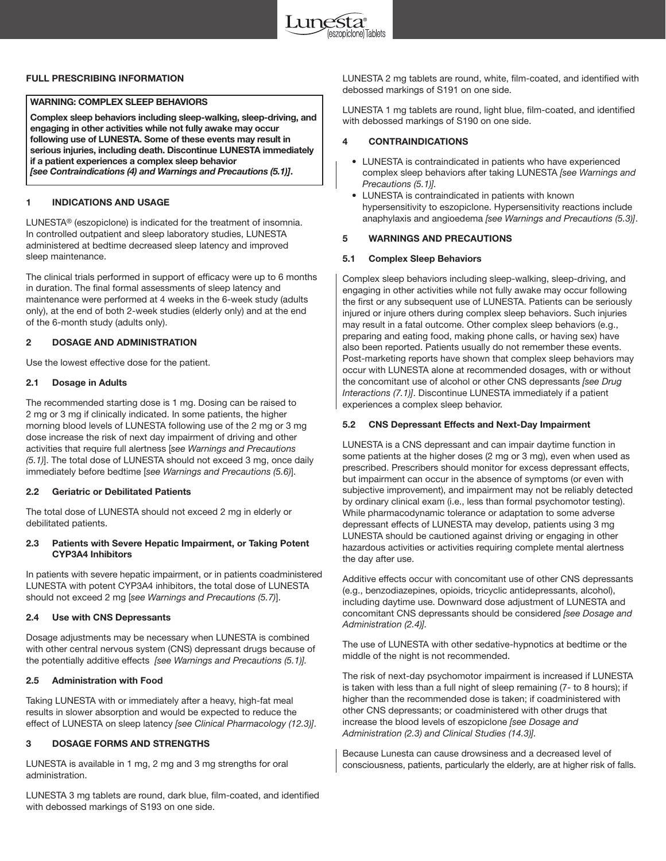#### **FULL PRESCRIBING INFORMATION**

#### **WARNING: COMPLEX SLEEP BEHAVIORS**

**Complex sleep behaviors including sleep-walking, sleep-driving, and engaging in other activities while not fully awake may occur following use of LUNESTA. Some of these events may result in serious injuries, including death. Discontinue LUNESTA immediately if a patient experiences a complex sleep behavior** *[see Contraindications (4) and Warnings and Precautions (5.1)]***.**

#### **1 INDICATIONS AND USAGE**

LUNESTA® (eszopiclone) is indicated for the treatment of insomnia. In controlled outpatient and sleep laboratory studies, LUNESTA administered at bedtime decreased sleep latency and improved sleep maintenance.

The clinical trials performed in support of efficacy were up to 6 months in duration. The final formal assessments of sleep latency and maintenance were performed at 4 weeks in the 6-week study (adults only), at the end of both 2-week studies (elderly only) and at the end of the 6-month study (adults only).

#### **2 DOSAGE AND ADMINISTRATION**

Use the lowest effective dose for the patient.

#### **2.1 Dosage in Adults**

The recommended starting dose is 1 mg. Dosing can be raised to 2 mg or 3 mg if clinically indicated. In some patients, the higher morning blood levels of LUNESTA following use of the 2 mg or 3 mg dose increase the risk of next day impairment of driving and other activities that require full alertness [see Warnings and Precautions (5.1)]. The total dose of LUNESTA should not exceed 3 mg, once daily immediately before bedtime [see Warnings and Precautions (5.6)].

#### **2.2 Geriatric or Debilitated Patients**

The total dose of LUNESTA should not exceed 2 mg in elderly or debilitated patients.

#### **2.3 Patients with Severe Hepatic Impairment, or Taking Potent CYP3A4 Inhibitors**

In patients with severe hepatic impairment, or in patients coadministered LUNESTA with potent CYP3A4 inhibitors, the total dose of LUNESTA should not exceed 2 mg [see Warnings and Precautions (5.7)].

#### **2.4 Use with CNS Depressants**

Dosage adjustments may be necessary when LUNESTA is combined with other central nervous system (CNS) depressant drugs because of the potentially additive effects [see Warnings and Precautions (5.1)].

#### **2.5 Administration with Food**

Taking LUNESTA with or immediately after a heavy, high-fat meal results in slower absorption and would be expected to reduce the effect of LUNESTA on sleep latency [see Clinical Pharmacology (12.3)].

#### **3 DOSAGE FORMS AND STRENGTHS**

LUNESTA is available in 1 mg, 2 mg and 3 mg strengths for oral administration.

LUNESTA 3 mg tablets are round, dark blue, film-coated, and identified with debossed markings of S193 on one side.

LUNESTA 2 mg tablets are round, white, film-coated, and identified with debossed markings of S191 on one side.

LUNESTA 1 mg tablets are round, light blue, film-coated, and identified with debossed markings of S190 on one side.

#### **4 CONTRAINDICATIONS**

- LUNESTA is contraindicated in patients who have experienced complex sleep behaviors after taking LUNESTA [see Warnings and Precautions (5.1)].
- LUNESTA is contraindicated in patients with known hypersensitivity to eszopiclone. Hypersensitivity reactions include anaphylaxis and angioedema [see Warnings and Precautions (5.3)].

#### **5 WARNINGS AND PRECAUTIONS**

#### **5.1 Complex Sleep Behaviors**

Complex sleep behaviors including sleep-walking, sleep-driving, and engaging in other activities while not fully awake may occur following the first or any subsequent use of LUNESTA. Patients can be seriously injured or injure others during complex sleep behaviors. Such injuries may result in a fatal outcome. Other complex sleep behaviors (e.g., preparing and eating food, making phone calls, or having sex) have also been reported. Patients usually do not remember these events. Post-marketing reports have shown that complex sleep behaviors may occur with LUNESTA alone at recommended dosages, with or without the concomitant use of alcohol or other CNS depressants [see Drug Interactions (7.1)]. Discontinue LUNESTA immediately if a patient experiences a complex sleep behavior.

#### **5.2 CNS Depressant Effects and Next-Day Impairment**

LUNESTA is a CNS depressant and can impair daytime function in some patients at the higher doses (2 mg or 3 mg), even when used as prescribed. Prescribers should monitor for excess depressant effects, but impairment can occur in the absence of symptoms (or even with subjective improvement), and impairment may not be reliably detected by ordinary clinical exam (i.e., less than formal psychomotor testing). While pharmacodynamic tolerance or adaptation to some adverse depressant effects of LUNESTA may develop, patients using 3 mg LUNESTA should be cautioned against driving or engaging in other hazardous activities or activities requiring complete mental alertness the day after use.

Additive effects occur with concomitant use of other CNS depressants (e.g., benzodiazepines, opioids, tricyclic antidepressants, alcohol), including daytime use. Downward dose adjustment of LUNESTA and concomitant CNS depressants should be considered [see Dosage and Administration (2.4)].

The use of LUNESTA with other sedative-hypnotics at bedtime or the middle of the night is not recommended.

The risk of next-day psychomotor impairment is increased if LUNESTA is taken with less than a full night of sleep remaining (7- to 8 hours); if higher than the recommended dose is taken; if coadministered with other CNS depressants; or coadministered with other drugs that increase the blood levels of eszopiclone [see Dosage and Administration (2.3) and Clinical Studies (14.3)].

Because Lunesta can cause drowsiness and a decreased level of consciousness, patients, particularly the elderly, are at higher risk of falls.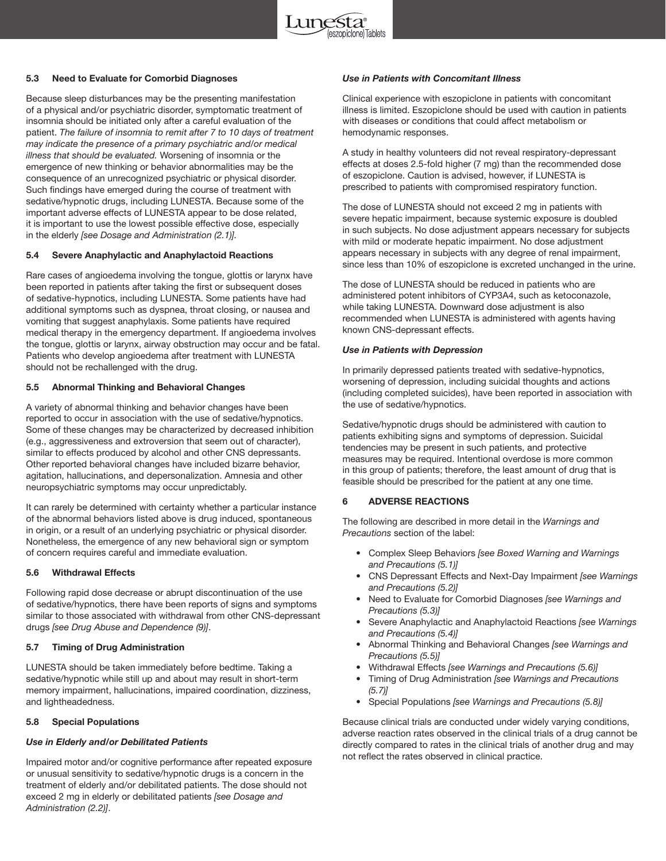

#### **5.3 Need to Evaluate for Comorbid Diagnoses**

Because sleep disturbances may be the presenting manifestation of a physical and/or psychiatric disorder, symptomatic treatment of insomnia should be initiated only after a careful evaluation of the patient. The failure of insomnia to remit after 7 to 10 days of treatment may indicate the presence of a primary psychiatric and/or medical illness that should be evaluated. Worsening of insomnia or the emergence of new thinking or behavior abnormalities may be the consequence of an unrecognized psychiatric or physical disorder. Such findings have emerged during the course of treatment with sedative/hypnotic drugs, including LUNESTA. Because some of the important adverse effects of LUNESTA appear to be dose related, it is important to use the lowest possible effective dose, especially in the elderly [see Dosage and Administration (2.1)].

#### **5.4 Severe Anaphylactic and Anaphylactoid Reactions**

Rare cases of angioedema involving the tongue, glottis or larynx have been reported in patients after taking the first or subsequent doses of sedative-hypnotics, including LUNESTA. Some patients have had additional symptoms such as dyspnea, throat closing, or nausea and vomiting that suggest anaphylaxis. Some patients have required medical therapy in the emergency department. If angioedema involves the tongue, glottis or larynx, airway obstruction may occur and be fatal. Patients who develop angioedema after treatment with LUNESTA should not be rechallenged with the drug.

#### **5.5 Abnormal Thinking and Behavioral Changes**

A variety of abnormal thinking and behavior changes have been reported to occur in association with the use of sedative/hypnotics. Some of these changes may be characterized by decreased inhibition (e.g., aggressiveness and extroversion that seem out of character), similar to effects produced by alcohol and other CNS depressants. Other reported behavioral changes have included bizarre behavior, agitation, hallucinations, and depersonalization. Amnesia and other neuropsychiatric symptoms may occur unpredictably.

It can rarely be determined with certainty whether a particular instance of the abnormal behaviors listed above is drug induced, spontaneous in origin, or a result of an underlying psychiatric or physical disorder. Nonetheless, the emergence of any new behavioral sign or symptom of concern requires careful and immediate evaluation.

#### **5.6 Withdrawal Effects**

Following rapid dose decrease or abrupt discontinuation of the use of sedative/hypnotics, there have been reports of signs and symptoms similar to those associated with withdrawal from other CNS-depressant drugs [see Drug Abuse and Dependence (9)].

#### **5.7 Timing of Drug Administration**

LUNESTA should be taken immediately before bedtime. Taking a sedative/hypnotic while still up and about may result in short-term memory impairment, hallucinations, impaired coordination, dizziness, and lightheadedness.

#### **5.8 Special Populations**

#### *Use in Elderly and/or Debilitated Patients*

Impaired motor and/or cognitive performance after repeated exposure or unusual sensitivity to sedative/hypnotic drugs is a concern in the treatment of elderly and/or debilitated patients. The dose should not exceed 2 mg in elderly or debilitated patients [see Dosage and Administration (2.2)].

#### *Use in Patients with Concomitant Illness*

Clinical experience with eszopiclone in patients with concomitant illness is limited. Eszopiclone should be used with caution in patients with diseases or conditions that could affect metabolism or hemodynamic responses.

A study in healthy volunteers did not reveal respiratory-depressant effects at doses 2.5-fold higher (7 mg) than the recommended dose of eszopiclone. Caution is advised, however, if LUNESTA is prescribed to patients with compromised respiratory function.

The dose of LUNESTA should not exceed 2 mg in patients with severe hepatic impairment, because systemic exposure is doubled in such subjects. No dose adjustment appears necessary for subjects with mild or moderate hepatic impairment. No dose adjustment appears necessary in subjects with any degree of renal impairment, since less than 10% of eszopiclone is excreted unchanged in the urine.

The dose of LUNESTA should be reduced in patients who are administered potent inhibitors of CYP3A4, such as ketoconazole, while taking LUNESTA. Downward dose adjustment is also recommended when LUNESTA is administered with agents having known CNS-depressant effects.

#### *Use in Patients with Depression*

In primarily depressed patients treated with sedative-hypnotics, worsening of depression, including suicidal thoughts and actions (including completed suicides), have been reported in association with the use of sedative/hypnotics.

Sedative/hypnotic drugs should be administered with caution to patients exhibiting signs and symptoms of depression. Suicidal tendencies may be present in such patients, and protective measures may be required. Intentional overdose is more common in this group of patients; therefore, the least amount of drug that is feasible should be prescribed for the patient at any one time.

#### **6 ADVERSE REACTIONS**

The following are described in more detail in the Warnings and Precautions section of the label:

- Complex Sleep Behaviors [see Boxed Warning and Warnings and Precautions (5.1)]
- CNS Depressant Effects and Next-Day Impairment [see Warnings and Precautions (5.2)]
- Need to Evaluate for Comorbid Diagnoses [see Warnings and Precautions (5.3)]
- Severe Anaphylactic and Anaphylactoid Reactions [see Warnings and Precautions (5.4)]
- Abnormal Thinking and Behavioral Changes [see Warnings and Precautions (5.5)]
- Withdrawal Effects [see Warnings and Precautions (5.6)]
- Timing of Drug Administration [see Warnings and Precautions  $(5.7)$ ]
- Special Populations [see Warnings and Precautions (5.8)]

Because clinical trials are conducted under widely varying conditions, adverse reaction rates observed in the clinical trials of a drug cannot be directly compared to rates in the clinical trials of another drug and may not reflect the rates observed in clinical practice.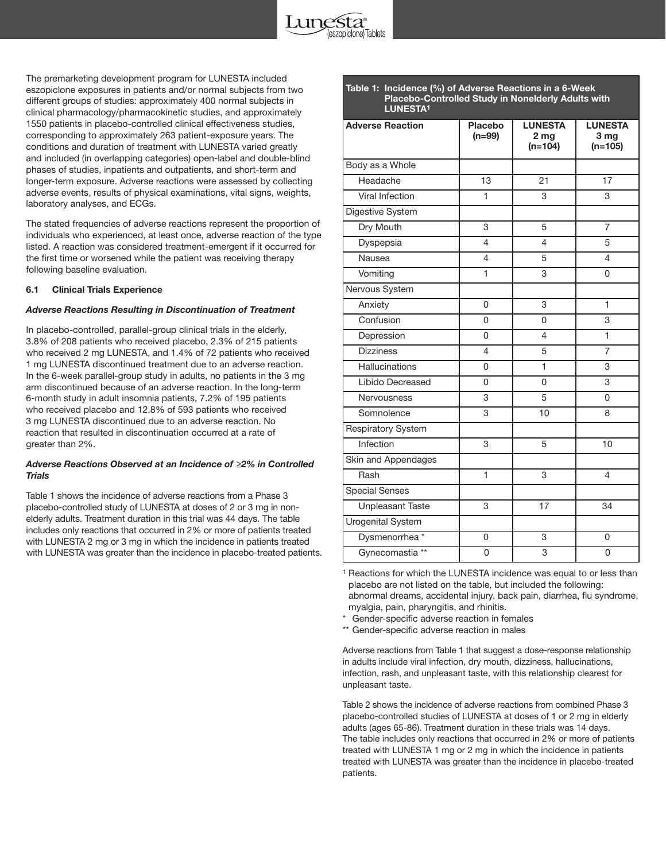

The premarketing development program for LUNESTA included eszopiclone exposures in patients and/or normal subjects from two different groups of studies: approximately 400 normal subjects in clinical pharmacology/pharmacokinetic studies, and approximately 1550 patients in placebo-controlled clinical effectiveness studies, corresponding to approximately 263 patient-exposure years. The conditions and duration of treatment with LUNESTA varied greatly and included (in overlapping categories) open-label and double-blind phases of studies, inpatients and outpatients, and short-term and longer-term exposure. Adverse reactions were assessed by collecting adverse events, results of physical examinations, vital signs, weights, laboratory analyses, and ECGs.

The stated frequencies of adverse reactions represent the proportion of individuals who experienced, at least once, adverse reaction of the type listed. A reaction was considered treatment-emergent if it occurred for the first time or worsened while the patient was receiving therapy following baseline evaluation.

#### **6.1 Clinical Trials Experience**

#### *Adverse Reactions Resulting in Discontinuation of Treatment*

In placebo-controlled, parallel-group clinical trials in the elderly, 3.8% of 208 patients who received placebo, 2.3% of 215 patients who received 2 mg LUNESTA, and 1.4% of 72 patients who received 1 mg LUNESTA discontinued treatment due to an adverse reaction. In the 6-week parallel-group study in adults, no patients in the 3 mg arm discontinued because of an adverse reaction. In the long-term 6-month study in adult insomnia patients, 7.2% of 195 patients who received placebo and 12.8% of 593 patients who received 3 mg LUNESTA discontinued due to an adverse reaction. No reaction that resulted in discontinuation occurred at a rate of greater than 2%.

#### *Adverse Reactions Observed at an Incidence of ≥2% in Controlled Trials*

Table 1 shows the incidence of adverse reactions from a Phase 3 placebo-controlled study of LUNESTA at doses of 2 or 3 mg in nonelderly adults. Treatment duration in this trial was 44 days. The table includes only reactions that occurred in 2% or more of patients treated with LUNESTA 2 mg or 3 mg in which the incidence in patients treated with LUNESTA was greater than the incidence in placebo-treated patients.

| Table 1: Incidence (%) of Adverse Reactions in a 6-Week   |
|-----------------------------------------------------------|
| <b>Placebo-Controlled Study in Nonelderly Adults with</b> |
| LUNESTA <sup>1</sup>                                      |

| <b>Adverse Reaction</b>   | <b>Placebo</b><br>$(n=99)$ | <b>LUNESTA</b><br>2 mg<br>$(n=104)$ | <b>LUNESTA</b><br>3 mg<br>$(n=105)$ |
|---------------------------|----------------------------|-------------------------------------|-------------------------------------|
| Body as a Whole           |                            |                                     |                                     |
| Headache                  | 13                         | 21                                  | 17                                  |
| Viral Infection           | $\blacksquare$             | 3                                   | 3                                   |
| Digestive System          |                            |                                     |                                     |
| Dry Mouth                 | 3                          | 5                                   | $\overline{7}$                      |
| Dyspepsia                 | $\overline{\mathcal{L}}$   | $\overline{4}$                      | 5                                   |
| Nausea                    | $\overline{4}$             | 5                                   | $\overline{4}$                      |
| Vomiting                  | $\overline{1}$             | 3                                   | 0                                   |
| Nervous System            |                            |                                     |                                     |
| Anxiety                   | 0                          | 3                                   | 1                                   |
| Confusion                 | 0                          | 0                                   | 3                                   |
| Depression                | 0                          | $\overline{4}$                      | 1                                   |
| <b>Dizziness</b>          | 4                          | 5                                   | $\overline{7}$                      |
| <b>Hallucinations</b>     | 0                          | 1                                   | 3                                   |
| Libido Decreased          | 0                          | 0                                   | 3                                   |
| Nervousness               | 3                          | 5                                   | 0                                   |
| Somnolence                | 3                          | 10                                  | 8                                   |
| <b>Respiratory System</b> |                            |                                     |                                     |
| Infection                 | 3                          | 5                                   | 10                                  |
| Skin and Appendages       |                            |                                     |                                     |
| Rash                      | 1                          | 3                                   | $\overline{4}$                      |
| <b>Special Senses</b>     |                            |                                     |                                     |
| <b>Unpleasant Taste</b>   | 3                          | 17                                  | 34                                  |
| Urogenital System         |                            |                                     |                                     |
| Dysmenorrhea <sup>*</sup> | 0                          | 3                                   | 0                                   |
| Gynecomastia **           | 0                          | 3                                   | 0                                   |
|                           |                            |                                     |                                     |

1 Reactions for which the LUNESTA incidence was equal to or less than placebo are not listed on the table, but included the following: abnormal dreams, accidental injury, back pain, diarrhea, flu syndrome, myalgia, pain, pharyngitis, and rhinitis.

\* Gender-specific adverse reaction in females

\*\* Gender-specific adverse reaction in males

Adverse reactions from Table 1 that suggest a dose-response relationship in adults include viral infection, dry mouth, dizziness, hallucinations, infection, rash, and unpleasant taste, with this relationship clearest for unpleasant taste.

Table 2 shows the incidence of adverse reactions from combined Phase 3 placebo-controlled studies of LUNESTA at doses of 1 or 2 mg in elderly adults (ages 65-86). Treatment duration in these trials was 14 days. The table includes only reactions that occurred in 2% or more of patients treated with LUNESTA 1 mg or 2 mg in which the incidence in patients treated with LUNESTA was greater than the incidence in placebo-treated patients.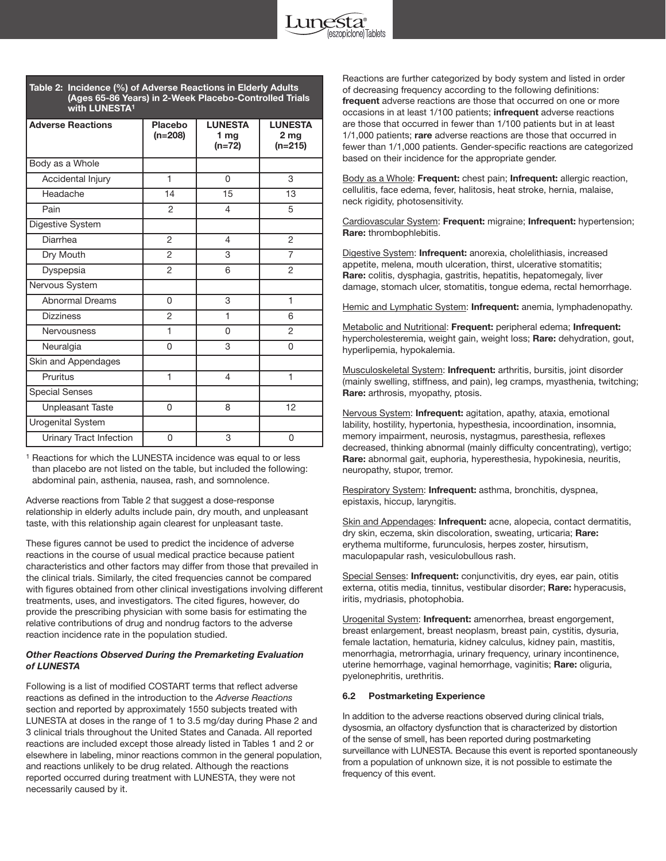

| rable 2. includities (70) or Adverse ricactions in Elucrity Addits<br>(Ages 65-86 Years) in 2-Week Placebo-Controlled Trials<br>with LUNESTA <sup>1</sup> |                      |                                      |                                                |  |  |
|-----------------------------------------------------------------------------------------------------------------------------------------------------------|----------------------|--------------------------------------|------------------------------------------------|--|--|
| <b>Adverse Reactions</b>                                                                                                                                  | Placebo<br>$(n=208)$ | <b>LUNESTA</b><br>1 $mg$<br>$(n=72)$ | <b>LUNESTA</b><br>2 <sub>mg</sub><br>$(n=215)$ |  |  |
| Body as a Whole                                                                                                                                           |                      |                                      |                                                |  |  |
| Accidental Injury                                                                                                                                         | $\mathbf{1}$         | 0                                    | 3                                              |  |  |
| Headache                                                                                                                                                  | 14                   | 15                                   | 13                                             |  |  |
| Pain                                                                                                                                                      | $\mathfrak{p}$       | 4                                    | 5                                              |  |  |
| Digestive System                                                                                                                                          |                      |                                      |                                                |  |  |
| Diarrhea                                                                                                                                                  | 2                    | 4                                    | 2                                              |  |  |
| Dry Mouth                                                                                                                                                 | $\overline{2}$       | 3                                    | 7                                              |  |  |
| Dyspepsia                                                                                                                                                 | $\overline{2}$       | 6                                    | $\overline{2}$                                 |  |  |
| Nervous System                                                                                                                                            |                      |                                      |                                                |  |  |
| <b>Abnormal Dreams</b>                                                                                                                                    | 0                    | 3                                    | 1                                              |  |  |
| <b>Dizziness</b>                                                                                                                                          | $\overline{2}$       | 1                                    | 6                                              |  |  |
| Nervousness                                                                                                                                               | 1                    | 0                                    | $\overline{2}$                                 |  |  |
| Neuralgia                                                                                                                                                 | 0                    | 3                                    | 0                                              |  |  |
| Skin and Appendages                                                                                                                                       |                      |                                      |                                                |  |  |
| Pruritus                                                                                                                                                  | $\mathbf{1}$         | 4                                    | 1                                              |  |  |
| <b>Special Senses</b>                                                                                                                                     |                      |                                      |                                                |  |  |
| <b>Unpleasant Taste</b>                                                                                                                                   | 0                    | 8                                    | 12                                             |  |  |
| Urogenital System                                                                                                                                         |                      |                                      |                                                |  |  |
| Urinary Tract Infection                                                                                                                                   | 0                    | 3                                    | 0                                              |  |  |

**Table 2: Incidence (%) of Adverse Reactions in Elderly Adults**

1 Reactions for which the LUNESTA incidence was equal to or less than placebo are not listed on the table, but included the following: abdominal pain, asthenia, nausea, rash, and somnolence.

Adverse reactions from Table 2 that suggest a dose-response relationship in elderly adults include pain, dry mouth, and unpleasant taste, with this relationship again clearest for unpleasant taste.

These figures cannot be used to predict the incidence of adverse reactions in the course of usual medical practice because patient characteristics and other factors may differ from those that prevailed in the clinical trials. Similarly, the cited frequencies cannot be compared with figures obtained from other clinical investigations involving different treatments, uses, and investigators. The cited figures, however, do provide the prescribing physician with some basis for estimating the relative contributions of drug and nondrug factors to the adverse reaction incidence rate in the population studied.

#### *Other Reactions Observed During the Premarketing Evaluation of LUNESTA*

Following is a list of modified COSTART terms that reflect adverse reactions as defined in the introduction to the Adverse Reactions section and reported by approximately 1550 subjects treated with LUNESTA at doses in the range of 1 to 3.5 mg/day during Phase 2 and 3 clinical trials throughout the United States and Canada. All reported reactions are included except those already listed in Tables 1 and 2 or elsewhere in labeling, minor reactions common in the general population, and reactions unlikely to be drug related. Although the reactions reported occurred during treatment with LUNESTA, they were not necessarily caused by it.

Reactions are further categorized by body system and listed in order of decreasing frequency according to the following definitions: **frequent** adverse reactions are those that occurred on one or more occasions in at least 1/100 patients; **infrequent** adverse reactions are those that occurred in fewer than 1/100 patients but in at least 1/1,000 patients; **rare** adverse reactions are those that occurred in fewer than 1/1,000 patients. Gender-specific reactions are categorized based on their incidence for the appropriate gender.

Body as a Whole: **Frequent:** chest pain; **Infrequent:** allergic reaction, cellulitis, face edema, fever, halitosis, heat stroke, hernia, malaise, neck rigidity, photosensitivity.

Cardiovascular System: **Frequent:** migraine; **Infrequent:** hypertension; **Rare:** thrombophlebitis.

Digestive System: **Infrequent:** anorexia, cholelithiasis, increased appetite, melena, mouth ulceration, thirst, ulcerative stomatitis; **Rare:** colitis, dysphagia, gastritis, hepatitis, hepatomegaly, liver damage, stomach ulcer, stomatitis, tongue edema, rectal hemorrhage.

Hemic and Lymphatic System: **Infrequent:** anemia, lymphadenopathy.

Metabolic and Nutritional: **Frequent:** peripheral edema; **Infrequent:** hypercholesteremia, weight gain, weight loss; **Rare:** dehydration, gout, hyperlipemia, hypokalemia.

Musculoskeletal System: **Infrequent:** arthritis, bursitis, joint disorder (mainly swelling, stiffness, and pain), leg cramps, myasthenia, twitching; **Rare:** arthrosis, myopathy, ptosis.

Nervous System: **Infrequent:** agitation, apathy, ataxia, emotional lability, hostility, hypertonia, hypesthesia, incoordination, insomnia, memory impairment, neurosis, nystagmus, paresthesia, reflexes decreased, thinking abnormal (mainly difficulty concentrating), vertigo; **Rare:** abnormal gait, euphoria, hyperesthesia, hypokinesia, neuritis, neuropathy, stupor, tremor.

Respiratory System: **Infrequent:** asthma, bronchitis, dyspnea, epistaxis, hiccup, laryngitis.

Skin and Appendages: **Infrequent:** acne, alopecia, contact dermatitis, dry skin, eczema, skin discoloration, sweating, urticaria; **Rare:** erythema multiforme, furunculosis, herpes zoster, hirsutism, maculopapular rash, vesiculobullous rash.

Special Senses: **Infrequent:** conjunctivitis, dry eyes, ear pain, otitis externa, otitis media, tinnitus, vestibular disorder; **Rare:** hyperacusis, iritis, mydriasis, photophobia.

Urogenital System: **Infrequent:** amenorrhea, breast engorgement, breast enlargement, breast neoplasm, breast pain, cystitis, dysuria, female lactation, hematuria, kidney calculus, kidney pain, mastitis, menorrhagia, metrorrhagia, urinary frequency, urinary incontinence, uterine hemorrhage, vaginal hemorrhage, vaginitis; **Rare:** oliguria, pyelonephritis, urethritis.

#### **6.2 Postmarketing Experience**

In addition to the adverse reactions observed during clinical trials, dysosmia, an olfactory dysfunction that is characterized by distortion of the sense of smell, has been reported during postmarketing surveillance with LUNESTA. Because this event is reported spontaneously from a population of unknown size, it is not possible to estimate the frequency of this event.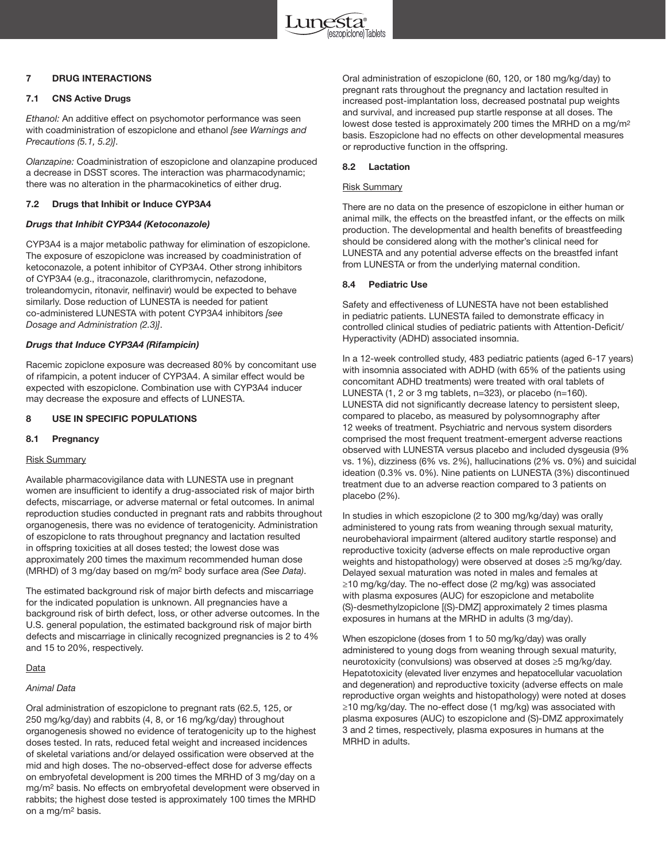#### **7 DRUG INTERACTIONS**

#### **7.1 CNS Active Drugs**

Ethanol: An additive effect on psychomotor performance was seen with coadministration of eszopiclone and ethanol [see Warnings and Precautions (5.1, 5.2)].

Olanzapine: Coadministration of eszopiclone and olanzapine produced a decrease in DSST scores. The interaction was pharmacodynamic; there was no alteration in the pharmacokinetics of either drug.

#### **7.2 Drugs that Inhibit or Induce CYP3A4**

#### *Drugs that Inhibit CYP3A4 (Ketoconazole)*

CYP3A4 is a major metabolic pathway for elimination of eszopiclone. The exposure of eszopiclone was increased by coadministration of ketoconazole, a potent inhibitor of CYP3A4. Other strong inhibitors of CYP3A4 (e.g., itraconazole, clarithromycin, nefazodone, troleandomycin, ritonavir, nelfinavir) would be expected to behave similarly. Dose reduction of LUNESTA is needed for patient co-administered LUNESTA with potent CYP3A4 inhibitors [see Dosage and Administration (2.3)].

#### *Drugs that Induce CYP3A4 (Rifampicin)*

Racemic zopiclone exposure was decreased 80% by concomitant use of rifampicin, a potent inducer of CYP3A4. A similar effect would be expected with eszopiclone. Combination use with CYP3A4 inducer may decrease the exposure and effects of LUNESTA.

#### **8 USE IN SPECIFIC POPULATIONS**

#### **8.1 Pregnancy**

#### Risk Summary

Available pharmacovigilance data with LUNESTA use in pregnant women are insufficient to identify a drug-associated risk of major birth defects, miscarriage, or adverse maternal or fetal outcomes. In animal reproduction studies conducted in pregnant rats and rabbits throughout organogenesis, there was no evidence of teratogenicity. Administration of eszopiclone to rats throughout pregnancy and lactation resulted in offspring toxicities at all doses tested; the lowest dose was approximately 200 times the maximum recommended human dose (MRHD) of 3 mg/day based on mg/m2 body surface area (See Data).

The estimated background risk of major birth defects and miscarriage for the indicated population is unknown. All pregnancies have a background risk of birth defect, loss, or other adverse outcomes. In the U.S. general population, the estimated background risk of major birth defects and miscarriage in clinically recognized pregnancies is 2 to 4% and 15 to 20%, respectively.

#### Data

#### Animal Data

Oral administration of eszopiclone to pregnant rats (62.5, 125, or 250 mg/kg/day) and rabbits (4, 8, or 16 mg/kg/day) throughout organogenesis showed no evidence of teratogenicity up to the highest doses tested. In rats, reduced fetal weight and increased incidences of skeletal variations and/or delayed ossification were observed at the mid and high doses. The no-observed-effect dose for adverse effects on embryofetal development is 200 times the MRHD of 3 mg/day on a mg/m<sup>2</sup> basis. No effects on embryofetal development were observed in rabbits; the highest dose tested is approximately 100 times the MRHD on a mg/m2 basis.

Oral administration of eszopiclone (60, 120, or 180 mg/kg/day) to pregnant rats throughout the pregnancy and lactation resulted in increased post-implantation loss, decreased postnatal pup weights and survival, and increased pup startle response at all doses. The lowest dose tested is approximately 200 times the MRHD on a mg/m2 basis. Eszopiclone had no effects on other developmental measures or reproductive function in the offspring.

#### **8.2 Lactation**

#### Risk Summary

There are no data on the presence of eszopiclone in either human or animal milk, the effects on the breastfed infant, or the effects on milk production. The developmental and health benefits of breastfeeding should be considered along with the mother's clinical need for LUNESTA and any potential adverse effects on the breastfed infant from LUNESTA or from the underlying maternal condition.

#### **8.4 Pediatric Use**

Safety and effectiveness of LUNESTA have not been established in pediatric patients. LUNESTA failed to demonstrate efficacy in controlled clinical studies of pediatric patients with Attention-Deficit/ Hyperactivity (ADHD) associated insomnia.

In a 12-week controlled study, 483 pediatric patients (aged 6-17 years) with insomnia associated with ADHD (with 65% of the patients using concomitant ADHD treatments) were treated with oral tablets of LUNESTA (1, 2 or 3 mg tablets, n=323), or placebo (n=160). LUNESTA did not significantly decrease latency to persistent sleep, compared to placebo, as measured by polysomnography after 12 weeks of treatment. Psychiatric and nervous system disorders comprised the most frequent treatment-emergent adverse reactions observed with LUNESTA versus placebo and included dysgeusia (9% vs. 1%), dizziness (6% vs. 2%), hallucinations (2% vs. 0%) and suicidal ideation (0.3% vs. 0%). Nine patients on LUNESTA (3%) discontinued treatment due to an adverse reaction compared to 3 patients on placebo (2%).

In studies in which eszopiclone (2 to 300 mg/kg/day) was orally administered to young rats from weaning through sexual maturity, neurobehavioral impairment (altered auditory startle response) and reproductive toxicity (adverse effects on male reproductive organ weights and histopathology) were observed at doses ≥5 mg/kg/day. Delayed sexual maturation was noted in males and females at ≥10 mg/kg/day. The no-effect dose (2 mg/kg) was associated with plasma exposures (AUC) for eszopiclone and metabolite (S)-desmethylzopiclone [(S)-DMZ] approximately 2 times plasma exposures in humans at the MRHD in adults (3 mg/day).

When eszopiclone (doses from 1 to 50 mg/kg/day) was orally administered to young dogs from weaning through sexual maturity, neurotoxicity (convulsions) was observed at doses ≥5 mg/kg/day. Hepatotoxicity (elevated liver enzymes and hepatocellular vacuolation and degeneration) and reproductive toxicity (adverse effects on male reproductive organ weights and histopathology) were noted at doses ≥10 mg/kg/day. The no-effect dose (1 mg/kg) was associated with plasma exposures (AUC) to eszopiclone and (S)-DMZ approximately 3 and 2 times, respectively, plasma exposures in humans at the MRHD in adults.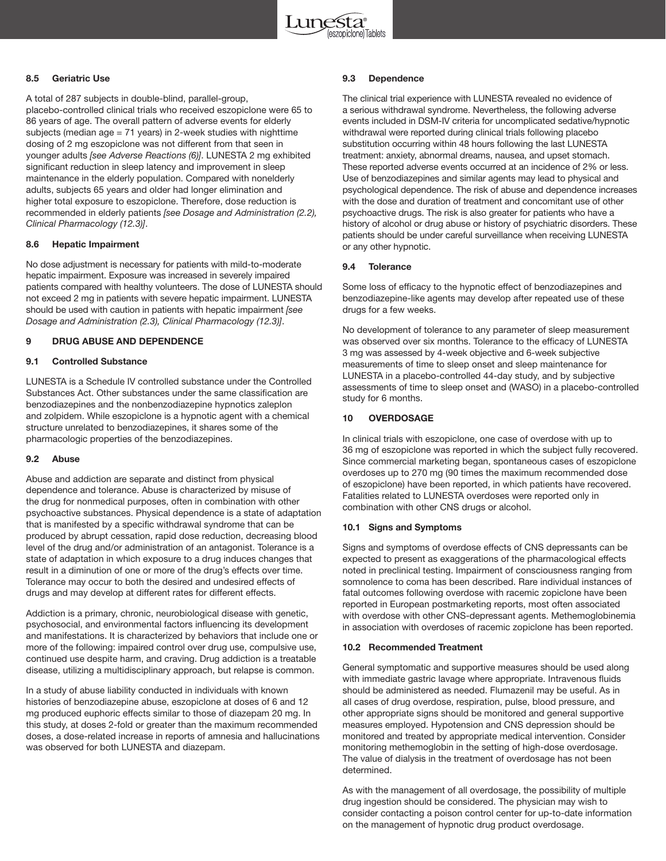#### **8.5 Geriatric Use**

A total of 287 subjects in double-blind, parallel-group, placebo-controlled clinical trials who received eszopiclone were 65 to 86 years of age. The overall pattern of adverse events for elderly subjects (median age = 71 years) in 2-week studies with nighttime dosing of 2 mg eszopiclone was not different from that seen in younger adults [see Adverse Reactions (6)]. LUNESTA 2 mg exhibited significant reduction in sleep latency and improvement in sleep maintenance in the elderly population. Compared with nonelderly adults, subjects 65 years and older had longer elimination and higher total exposure to eszopiclone. Therefore, dose reduction is recommended in elderly patients [see Dosage and Administration (2.2), Clinical Pharmacology (12.3)].

#### **8.6 Hepatic Impairment**

No dose adjustment is necessary for patients with mild-to-moderate hepatic impairment. Exposure was increased in severely impaired patients compared with healthy volunteers. The dose of LUNESTA should not exceed 2 mg in patients with severe hepatic impairment. LUNESTA should be used with caution in patients with hepatic impairment [see Dosage and Administration (2.3), Clinical Pharmacology (12.3)].

#### **9 DRUG ABUSE AND DEPENDENCE**

#### **9.1 Controlled Substance**

LUNESTA is a Schedule IV controlled substance under the Controlled Substances Act. Other substances under the same classification are benzodiazepines and the nonbenzodiazepine hypnotics zaleplon and zolpidem. While eszopiclone is a hypnotic agent with a chemical structure unrelated to benzodiazepines, it shares some of the pharmacologic properties of the benzodiazepines.

#### **9.2 Abuse**

Abuse and addiction are separate and distinct from physical dependence and tolerance. Abuse is characterized by misuse of the drug for nonmedical purposes, often in combination with other psychoactive substances. Physical dependence is a state of adaptation that is manifested by a specific withdrawal syndrome that can be produced by abrupt cessation, rapid dose reduction, decreasing blood level of the drug and/or administration of an antagonist. Tolerance is a state of adaptation in which exposure to a drug induces changes that result in a diminution of one or more of the drug's effects over time. Tolerance may occur to both the desired and undesired effects of drugs and may develop at different rates for different effects.

Addiction is a primary, chronic, neurobiological disease with genetic, psychosocial, and environmental factors influencing its development and manifestations. It is characterized by behaviors that include one or more of the following: impaired control over drug use, compulsive use, continued use despite harm, and craving. Drug addiction is a treatable disease, utilizing a multidisciplinary approach, but relapse is common.

In a study of abuse liability conducted in individuals with known histories of benzodiazepine abuse, eszopiclone at doses of 6 and 12 mg produced euphoric effects similar to those of diazepam 20 mg. In this study, at doses 2-fold or greater than the maximum recommended doses, a dose-related increase in reports of amnesia and hallucinations was observed for both LUNESTA and diazepam.

#### **9.3 Dependence**

The clinical trial experience with LUNESTA revealed no evidence of a serious withdrawal syndrome. Nevertheless, the following adverse events included in DSM-IV criteria for uncomplicated sedative/hypnotic withdrawal were reported during clinical trials following placebo substitution occurring within 48 hours following the last LUNESTA treatment: anxiety, abnormal dreams, nausea, and upset stomach. These reported adverse events occurred at an incidence of 2% or less. Use of benzodiazepines and similar agents may lead to physical and psychological dependence. The risk of abuse and dependence increases with the dose and duration of treatment and concomitant use of other psychoactive drugs. The risk is also greater for patients who have a history of alcohol or drug abuse or history of psychiatric disorders. These patients should be under careful surveillance when receiving LUNESTA or any other hypnotic.

#### **9.4 Tolerance**

Some loss of efficacy to the hypnotic effect of benzodiazepines and benzodiazepine-like agents may develop after repeated use of these drugs for a few weeks.

No development of tolerance to any parameter of sleep measurement was observed over six months. Tolerance to the efficacy of LUNESTA 3 mg was assessed by 4-week objective and 6-week subjective measurements of time to sleep onset and sleep maintenance for LUNESTA in a placebo-controlled 44-day study, and by subjective assessments of time to sleep onset and (WASO) in a placebo-controlled study for 6 months.

#### **10 OVERDOSAGE**

In clinical trials with eszopiclone, one case of overdose with up to 36 mg of eszopiclone was reported in which the subject fully recovered. Since commercial marketing began, spontaneous cases of eszopiclone overdoses up to 270 mg (90 times the maximum recommended dose of eszopiclone) have been reported, in which patients have recovered. Fatalities related to LUNESTA overdoses were reported only in combination with other CNS drugs or alcohol.

#### **10.1 Signs and Symptoms**

Signs and symptoms of overdose effects of CNS depressants can be expected to present as exaggerations of the pharmacological effects noted in preclinical testing. Impairment of consciousness ranging from somnolence to coma has been described. Rare individual instances of fatal outcomes following overdose with racemic zopiclone have been reported in European postmarketing reports, most often associated with overdose with other CNS-depressant agents. Methemoglobinemia in association with overdoses of racemic zopiclone has been reported.

#### **10.2 Recommended Treatment**

General symptomatic and supportive measures should be used along with immediate gastric lavage where appropriate. Intravenous fluids should be administered as needed. Flumazenil may be useful. As in all cases of drug overdose, respiration, pulse, blood pressure, and other appropriate signs should be monitored and general supportive measures employed. Hypotension and CNS depression should be monitored and treated by appropriate medical intervention. Consider monitoring methemoglobin in the setting of high-dose overdosage. The value of dialysis in the treatment of overdosage has not been determined.

As with the management of all overdosage, the possibility of multiple drug ingestion should be considered. The physician may wish to consider contacting a poison control center for up-to-date information on the management of hypnotic drug product overdosage.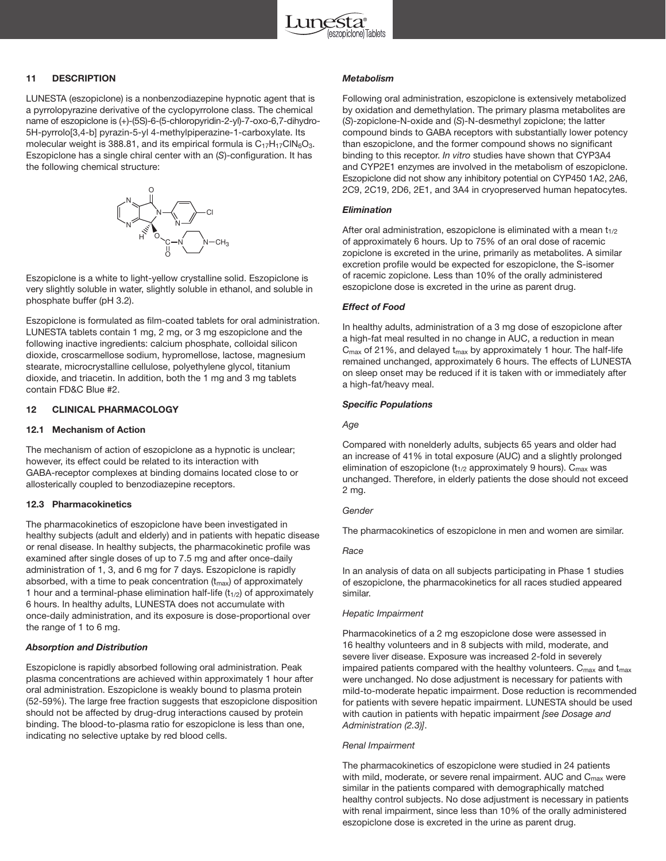#### **11 DESCRIPTION**

LUNESTA (eszopiclone) is a nonbenzodiazepine hypnotic agent that is a pyrrolopyrazine derivative of the cyclopyrrolone class. The chemical name of eszopiclone is (+)-(5S)-6-(5-chloropyridin-2-yl)-7-oxo-6,7-dihydro-5H-pyrrolo[3,4-b] pyrazin-5-yl 4-methylpiperazine-1-carboxylate. Its molecular weight is 388.81, and its empirical formula is  $C_{17}H_{17}CIN_6O_3$ . Eszopiclone has a single chiral center with an (S)-configuration. It has the following chemical structure:



Eszopiclone is a white to light-yellow crystalline solid. Eszopiclone is very slightly soluble in water, slightly soluble in ethanol, and soluble in phosphate buffer (pH 3.2).

Eszopiclone is formulated as film-coated tablets for oral administration. LUNESTA tablets contain 1 mg, 2 mg, or 3 mg eszopiclone and the following inactive ingredients: calcium phosphate, colloidal silicon dioxide, croscarmellose sodium, hypromellose, lactose, magnesium stearate, microcrystalline cellulose, polyethylene glycol, titanium dioxide, and triacetin. In addition, both the 1 mg and 3 mg tablets contain FD&C Blue #2.

#### **12 CLINICAL PHARMACOLOGY**

#### **12.1 Mechanism of Action**

The mechanism of action of eszopiclone as a hypnotic is unclear; however, its effect could be related to its interaction with GABA-receptor complexes at binding domains located close to or allosterically coupled to benzodiazepine receptors.

#### **12.3 Pharmacokinetics**

The pharmacokinetics of eszopiclone have been investigated in healthy subjects (adult and elderly) and in patients with hepatic disease or renal disease. In healthy subjects, the pharmacokinetic profile was examined after single doses of up to 7.5 mg and after once-daily administration of 1, 3, and 6 mg for 7 days. Eszopiclone is rapidly absorbed, with a time to peak concentration  $(t_{max})$  of approximately 1 hour and a terminal-phase elimination half-life  $(t_{1/2})$  of approximately 6 hours. In healthy adults, LUNESTA does not accumulate with once-daily administration, and its exposure is dose-proportional over the range of 1 to 6 mg.

#### *Absorption and Distribution*

Eszopiclone is rapidly absorbed following oral administration. Peak plasma concentrations are achieved within approximately 1 hour after oral administration. Eszopiclone is weakly bound to plasma protein (52-59%). The large free fraction suggests that eszopiclone disposition should not be affected by drug-drug interactions caused by protein binding. The blood-to-plasma ratio for eszopiclone is less than one, indicating no selective uptake by red blood cells.

#### *Metabolism*

Following oral administration, eszopiclone is extensively metabolized by oxidation and demethylation. The primary plasma metabolites are (S)-zopiclone-N-oxide and (S)-N-desmethyl zopiclone; the latter compound binds to GABA receptors with substantially lower potency than eszopiclone, and the former compound shows no significant binding to this receptor. In vitro studies have shown that CYP3A4 and CYP2E1 enzymes are involved in the metabolism of eszopiclone. Eszopiclone did not show any inhibitory potential on CYP450 1A2, 2A6, 2C9, 2C19, 2D6, 2E1, and 3A4 in cryopreserved human hepatocytes.

#### *Elimination*

After oral administration, eszopiclone is eliminated with a mean  $t_{1/2}$ of approximately 6 hours. Up to 75% of an oral dose of racemic zopiclone is excreted in the urine, primarily as metabolites. A similar excretion profile would be expected for eszopiclone, the S-isomer of racemic zopiclone. Less than 10% of the orally administered eszopiclone dose is excreted in the urine as parent drug.

#### *Effect of Food*

In healthy adults, administration of a 3 mg dose of eszopiclone after a high-fat meal resulted in no change in AUC, a reduction in mean  $C_{\text{max}}$  of 21%, and delayed  $t_{\text{max}}$  by approximately 1 hour. The half-life remained unchanged, approximately 6 hours. The effects of LUNESTA on sleep onset may be reduced if it is taken with or immediately after a high-fat/heavy meal.

#### *Specific Populations*

#### Age

Compared with nonelderly adults, subjects 65 years and older had an increase of 41% in total exposure (AUC) and a slightly prolonged elimination of eszopiclone ( $t_{1/2}$  approximately 9 hours).  $C_{\text{max}}$  was unchanged. Therefore, in elderly patients the dose should not exceed 2 mg.

#### **Gender**

The pharmacokinetics of eszopiclone in men and women are similar.

#### **Race**

In an analysis of data on all subjects participating in Phase 1 studies of eszopiclone, the pharmacokinetics for all races studied appeared similar.

#### Hepatic Impairment

Pharmacokinetics of a 2 mg eszopiclone dose were assessed in 16 healthy volunteers and in 8 subjects with mild, moderate, and severe liver disease. Exposure was increased 2-fold in severely impaired patients compared with the healthy volunteers.  $C_{\text{max}}$  and  $t_{\text{max}}$ were unchanged. No dose adjustment is necessary for patients with mild-to-moderate hepatic impairment. Dose reduction is recommended for patients with severe hepatic impairment. LUNESTA should be used with caution in patients with hepatic impairment [see Dosage and Administration (2.3)].

#### Renal Impairment

The pharmacokinetics of eszopiclone were studied in 24 patients with mild, moderate, or severe renal impairment. AUC and C<sub>max</sub> were similar in the patients compared with demographically matched healthy control subjects. No dose adjustment is necessary in patients with renal impairment, since less than 10% of the orally administered eszopiclone dose is excreted in the urine as parent drug.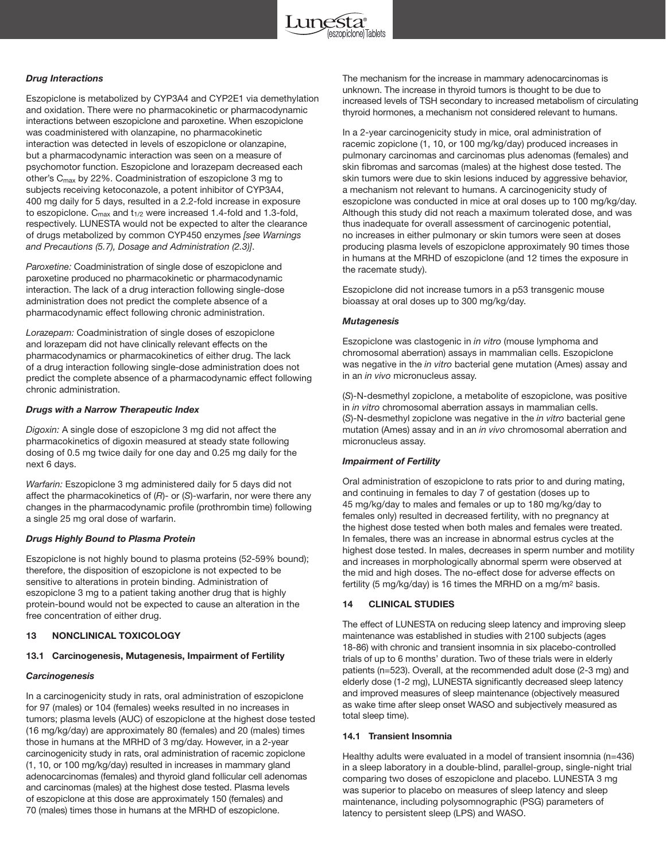

#### *Drug Interactions*

Eszopiclone is metabolized by CYP3A4 and CYP2E1 via demethylation and oxidation. There were no pharmacokinetic or pharmacodynamic interactions between eszopiclone and paroxetine. When eszopiclone was coadministered with olanzapine, no pharmacokinetic interaction was detected in levels of eszopiclone or olanzapine, but a pharmacodynamic interaction was seen on a measure of psychomotor function. Eszopiclone and lorazepam decreased each other's Cmax by 22%. Coadministration of eszopiclone 3 mg to subjects receiving ketoconazole, a potent inhibitor of CYP3A4, 400 mg daily for 5 days, resulted in a 2.2-fold increase in exposure to eszopiclone.  $C_{\text{max}}$  and  $t_{1/2}$  were increased 1.4-fold and 1.3-fold, respectively. LUNESTA would not be expected to alter the clearance of drugs metabolized by common CYP450 enzymes [see Warnings and Precautions (5.7), Dosage and Administration (2.3)].

Paroxetine: Coadministration of single dose of eszopiclone and paroxetine produced no pharmacokinetic or pharmacodynamic interaction. The lack of a drug interaction following single-dose administration does not predict the complete absence of a pharmacodynamic effect following chronic administration.

Lorazepam: Coadministration of single doses of eszopiclone and lorazepam did not have clinically relevant effects on the pharmacodynamics or pharmacokinetics of either drug. The lack of a drug interaction following single-dose administration does not predict the complete absence of a pharmacodynamic effect following chronic administration.

#### *Drugs with a Narrow Therapeutic Index*

Digoxin: A single dose of eszopiclone 3 mg did not affect the pharmacokinetics of digoxin measured at steady state following dosing of 0.5 mg twice daily for one day and 0.25 mg daily for the next 6 days.

Warfarin: Eszopiclone 3 mg administered daily for 5 days did not affect the pharmacokinetics of  $(R)$ - or  $(S)$ -warfarin, nor were there any changes in the pharmacodynamic profile (prothrombin time) following a single 25 mg oral dose of warfarin.

#### *Drugs Highly Bound to Plasma Protein*

Eszopiclone is not highly bound to plasma proteins (52-59% bound); therefore, the disposition of eszopiclone is not expected to be sensitive to alterations in protein binding. Administration of eszopiclone 3 mg to a patient taking another drug that is highly protein-bound would not be expected to cause an alteration in the free concentration of either drug.

#### **13 NONCLINICAL TOXICOLOGY**

#### **13.1 Carcinogenesis, Mutagenesis, Impairment of Fertility**

#### *Carcinogenesis*

In a carcinogenicity study in rats, oral administration of eszopiclone for 97 (males) or 104 (females) weeks resulted in no increases in tumors; plasma levels (AUC) of eszopiclone at the highest dose tested (16 mg/kg/day) are approximately 80 (females) and 20 (males) times those in humans at the MRHD of 3 mg/day. However, in a 2-year carcinogenicity study in rats, oral administration of racemic zopiclone (1, 10, or 100 mg/kg/day) resulted in increases in mammary gland adenocarcinomas (females) and thyroid gland follicular cell adenomas and carcinomas (males) at the highest dose tested. Plasma levels of eszopiclone at this dose are approximately 150 (females) and 70 (males) times those in humans at the MRHD of eszopiclone.

The mechanism for the increase in mammary adenocarcinomas is unknown. The increase in thyroid tumors is thought to be due to increased levels of TSH secondary to increased metabolism of circulating thyroid hormones, a mechanism not considered relevant to humans.

In a 2-year carcinogenicity study in mice, oral administration of racemic zopiclone (1, 10, or 100 mg/kg/day) produced increases in pulmonary carcinomas and carcinomas plus adenomas (females) and skin fibromas and sarcomas (males) at the highest dose tested. The skin tumors were due to skin lesions induced by aggressive behavior, a mechanism not relevant to humans. A carcinogenicity study of eszopiclone was conducted in mice at oral doses up to 100 mg/kg/day. Although this study did not reach a maximum tolerated dose, and was thus inadequate for overall assessment of carcinogenic potential, no increases in either pulmonary or skin tumors were seen at doses producing plasma levels of eszopiclone approximately 90 times those in humans at the MRHD of eszopiclone (and 12 times the exposure in the racemate study).

Eszopiclone did not increase tumors in a p53 transgenic mouse bioassay at oral doses up to 300 mg/kg/day.

#### *Mutagenesis*

Eszopiclone was clastogenic in in vitro (mouse lymphoma and chromosomal aberration) assays in mammalian cells. Eszopiclone was negative in the in vitro bacterial gene mutation (Ames) assay and in an in vivo micronucleus assay.

(S)-N-desmethyl zopiclone, a metabolite of eszopiclone, was positive in in vitro chromosomal aberration assays in mammalian cells. (S)-N-desmethyl zopiclone was negative in the in vitro bacterial gene mutation (Ames) assay and in an in vivo chromosomal aberration and micronucleus assay.

#### *Impairment of Fertility*

Oral administration of eszopiclone to rats prior to and during mating, and continuing in females to day 7 of gestation (doses up to 45 mg/kg/day to males and females or up to 180 mg/kg/day to females only) resulted in decreased fertility, with no pregnancy at the highest dose tested when both males and females were treated. In females, there was an increase in abnormal estrus cycles at the highest dose tested. In males, decreases in sperm number and motility and increases in morphologically abnormal sperm were observed at the mid and high doses. The no-effect dose for adverse effects on fertility (5 mg/kg/day) is 16 times the MRHD on a mg/m2 basis.

#### **14 CLINICAL STUDIES**

The effect of LUNESTA on reducing sleep latency and improving sleep maintenance was established in studies with 2100 subjects (ages 18-86) with chronic and transient insomnia in six placebo-controlled trials of up to 6 months' duration. Two of these trials were in elderly patients (n=523). Overall, at the recommended adult dose (2-3 mg) and elderly dose (1-2 mg), LUNESTA significantly decreased sleep latency and improved measures of sleep maintenance (objectively measured as wake time after sleep onset WASO and subjectively measured as total sleep time).

#### **14.1 Transient Insomnia**

Healthy adults were evaluated in a model of transient insomnia (n=436) in a sleep laboratory in a double-blind, parallel-group, single-night trial comparing two doses of eszopiclone and placebo. LUNESTA 3 mg was superior to placebo on measures of sleep latency and sleep maintenance, including polysomnographic (PSG) parameters of latency to persistent sleep (LPS) and WASO.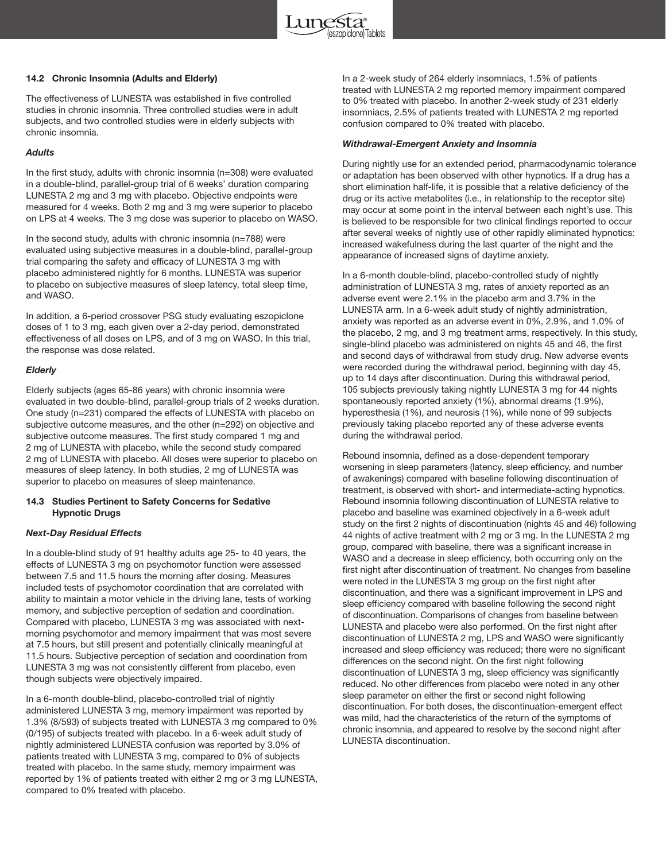

#### **14.2 Chronic Insomnia (Adults and Elderly)**

The effectiveness of LUNESTA was established in five controlled studies in chronic insomnia. Three controlled studies were in adult subjects, and two controlled studies were in elderly subjects with chronic insomnia.

#### *Adults*

In the first study, adults with chronic insomnia (n=308) were evaluated in a double-blind, parallel-group trial of 6 weeks' duration comparing LUNESTA 2 mg and 3 mg with placebo. Objective endpoints were measured for 4 weeks. Both 2 mg and 3 mg were superior to placebo on LPS at 4 weeks. The 3 mg dose was superior to placebo on WASO.

In the second study, adults with chronic insomnia (n=788) were evaluated using subjective measures in a double-blind, parallel-group trial comparing the safety and efficacy of LUNESTA 3 mg with placebo administered nightly for 6 months. LUNESTA was superior to placebo on subjective measures of sleep latency, total sleep time, and WASO.

In addition, a 6-period crossover PSG study evaluating eszopiclone doses of 1 to 3 mg, each given over a 2-day period, demonstrated effectiveness of all doses on LPS, and of 3 mg on WASO. In this trial, the response was dose related.

#### *Elderly*

Elderly subjects (ages 65-86 years) with chronic insomnia were evaluated in two double-blind, parallel-group trials of 2 weeks duration. One study (n=231) compared the effects of LUNESTA with placebo on subjective outcome measures, and the other (n=292) on objective and subjective outcome measures. The first study compared 1 mg and 2 mg of LUNESTA with placebo, while the second study compared 2 mg of LUNESTA with placebo. All doses were superior to placebo on measures of sleep latency. In both studies, 2 mg of LUNESTA was superior to placebo on measures of sleep maintenance.

#### **14.3 Studies Pertinent to Safety Concerns for Sedative Hypnotic Drugs**

#### *Next-Day Residual Effects*

In a double-blind study of 91 healthy adults age 25- to 40 years, the effects of LUNESTA 3 mg on psychomotor function were assessed between 7.5 and 11.5 hours the morning after dosing. Measures included tests of psychomotor coordination that are correlated with ability to maintain a motor vehicle in the driving lane, tests of working memory, and subjective perception of sedation and coordination. Compared with placebo, LUNESTA 3 mg was associated with nextmorning psychomotor and memory impairment that was most severe at 7.5 hours, but still present and potentially clinically meaningful at 11.5 hours. Subjective perception of sedation and coordination from LUNESTA 3 mg was not consistently different from placebo, even though subjects were objectively impaired.

In a 6-month double-blind, placebo-controlled trial of nightly administered LUNESTA 3 mg, memory impairment was reported by 1.3% (8/593) of subjects treated with LUNESTA 3 mg compared to 0% (0/195) of subjects treated with placebo. In a 6-week adult study of nightly administered LUNESTA confusion was reported by 3.0% of patients treated with LUNESTA 3 mg, compared to 0% of subjects treated with placebo. In the same study, memory impairment was reported by 1% of patients treated with either 2 mg or 3 mg LUNESTA, compared to 0% treated with placebo.

In a 2-week study of 264 elderly insomniacs, 1.5% of patients treated with LUNESTA 2 mg reported memory impairment compared to 0% treated with placebo. In another 2-week study of 231 elderly insomniacs, 2.5% of patients treated with LUNESTA 2 mg reported confusion compared to 0% treated with placebo.

#### *Withdrawal-Emergent Anxiety and Insomnia*

During nightly use for an extended period, pharmacodynamic tolerance or adaptation has been observed with other hypnotics. If a drug has a short elimination half-life, it is possible that a relative deficiency of the drug or its active metabolites (i.e., in relationship to the receptor site) may occur at some point in the interval between each night's use. This is believed to be responsible for two clinical findings reported to occur after several weeks of nightly use of other rapidly eliminated hypnotics: increased wakefulness during the last quarter of the night and the appearance of increased signs of daytime anxiety.

In a 6-month double-blind, placebo-controlled study of nightly administration of LUNESTA 3 mg, rates of anxiety reported as an adverse event were 2.1% in the placebo arm and 3.7% in the LUNESTA arm. In a 6-week adult study of nightly administration, anxiety was reported as an adverse event in 0%, 2.9%, and 1.0% of the placebo, 2 mg, and 3 mg treatment arms, respectively. In this study, single-blind placebo was administered on nights 45 and 46, the first and second days of withdrawal from study drug. New adverse events were recorded during the withdrawal period, beginning with day 45, up to 14 days after discontinuation. During this withdrawal period, 105 subjects previously taking nightly LUNESTA 3 mg for 44 nights spontaneously reported anxiety (1%), abnormal dreams (1.9%), hyperesthesia (1%), and neurosis (1%), while none of 99 subjects previously taking placebo reported any of these adverse events during the withdrawal period.

Rebound insomnia, defined as a dose-dependent temporary worsening in sleep parameters (latency, sleep efficiency, and number of awakenings) compared with baseline following discontinuation of treatment, is observed with short- and intermediate-acting hypnotics. Rebound insomnia following discontinuation of LUNESTA relative to placebo and baseline was examined objectively in a 6-week adult study on the first 2 nights of discontinuation (nights 45 and 46) following 44 nights of active treatment with 2 mg or 3 mg. In the LUNESTA 2 mg group, compared with baseline, there was a significant increase in WASO and a decrease in sleep efficiency, both occurring only on the first night after discontinuation of treatment. No changes from baseline were noted in the LUNESTA 3 mg group on the first night after discontinuation, and there was a significant improvement in LPS and sleep efficiency compared with baseline following the second night of discontinuation. Comparisons of changes from baseline between LUNESTA and placebo were also performed. On the first night after discontinuation of LUNESTA 2 mg, LPS and WASO were significantly increased and sleep efficiency was reduced; there were no significant differences on the second night. On the first night following discontinuation of LUNESTA 3 mg, sleep efficiency was significantly reduced. No other differences from placebo were noted in any other sleep parameter on either the first or second night following discontinuation. For both doses, the discontinuation-emergent effect was mild, had the characteristics of the return of the symptoms of chronic insomnia, and appeared to resolve by the second night after LUNESTA discontinuation.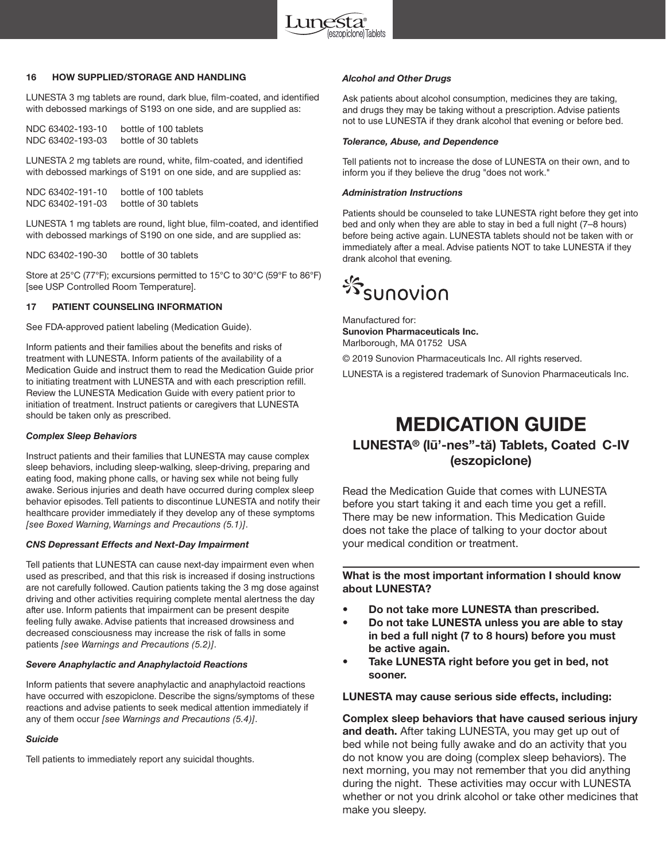

#### **16 HOW SUPPLIED/STORAGE AND HANDLING**

LUNESTA 3 mg tablets are round, dark blue, film-coated, and identified with debossed markings of S193 on one side, and are supplied as:

NDC 63402-193-10 bottle of 100 tablets NDC 63402-193-03 bottle of 30 tablets

LUNESTA 2 mg tablets are round, white, film-coated, and identified with debossed markings of S191 on one side, and are supplied as:

NDC 63402-191-10 bottle of 100 tablets NDC 63402-191-03 bottle of 30 tablets

LUNESTA 1 mg tablets are round, light blue, film-coated, and identified with debossed markings of S190 on one side, and are supplied as:

NDC 63402-190-30 bottle of 30 tablets

Store at 25°C (77°F); excursions permitted to 15°C to 30°C (59°F to 86°F) [see USP Controlled Room Temperature].

#### **17 PATIENT COUNSELING INFORMATION**

See FDA-approved patient labeling (Medication Guide).

Inform patients and their families about the benefits and risks of treatment with LUNESTA. Inform patients of the availability of a Medication Guide and instruct them to read the Medication Guide prior to initiating treatment with LUNESTA and with each prescription refill. Review the LUNESTA Medication Guide with every patient prior to initiation of treatment. Instruct patients or caregivers that LUNESTA should be taken only as prescribed.

#### *Complex Sleep Behaviors*

Instruct patients and their families that LUNESTA may cause complex sleep behaviors, including sleep-walking, sleep-driving, preparing and eating food, making phone calls, or having sex while not being fully awake. Serious injuries and death have occurred during complex sleep behavior episodes. Tell patients to discontinue LUNESTA and notify their healthcare provider immediately if they develop any of these symptoms [see Boxed Warning, Warnings and Precautions (5.1)].

#### *CNS Depressant Effects and Next-Day Impairment*

Tell patients that LUNESTA can cause next-day impairment even when used as prescribed, and that this risk is increased if dosing instructions are not carefully followed. Caution patients taking the 3 mg dose against driving and other activities requiring complete mental alertness the day after use. Inform patients that impairment can be present despite feeling fully awake. Advise patients that increased drowsiness and decreased consciousness may increase the risk of falls in some patients [see Warnings and Precautions (5.2)].

#### *Severe Anaphylactic and Anaphylactoid Reactions*

Inform patients that severe anaphylactic and anaphylactoid reactions have occurred with eszopiclone. Describe the signs/symptoms of these reactions and advise patients to seek medical attention immediately if any of them occur [see Warnings and Precautions (5.4)].

#### *Suicide*

Tell patients to immediately report any suicidal thoughts.

#### *Alcohol and Other Drugs*

Ask patients about alcohol consumption, medicines they are taking, and drugs they may be taking without a prescription. Advise patients not to use LUNESTA if they drank alcohol that evening or before bed.

#### *Tolerance, Abuse, and Dependence*

Tell patients not to increase the dose of LUNESTA on their own, and to inform you if they believe the drug "does not work."

#### *Administration Instructions*

Patients should be counseled to take LUNESTA right before they get into bed and only when they are able to stay in bed a full night (7–8 hours) before being active again. LUNESTA tablets should not be taken with or immediately after a meal. Advise patients NOT to take LUNESTA if they drank alcohol that evening.

# 袋sunovion

Manufactured for: **Sunovion Pharmaceuticals Inc.** Marlborough, MA 01752 USA

© 2019 Sunovion Pharmaceuticals Inc. All rights reserved.

LUNESTA is a registered trademark of Sunovion Pharmaceuticals Inc.

# **MEDICATION GUIDE**

# **LUNESTA® (lu¯ '-nes''-ta˘ ) Tablets, Coated C-IV (eszopiclone)**

Read the Medication Guide that comes with LUNESTA before you start taking it and each time you get a refill. There may be new information. This Medication Guide does not take the place of talking to your doctor about your medical condition or treatment.

**What is the most important information I should know about LUNESTA?**

- **Do not take more LUNESTA than prescribed.**
- **Do not take LUNESTA unless you are able to stay in bed a full night (7 to 8 hours) before you must be active again.**
- **Take LUNESTA right before you get in bed, not sooner.**

#### **LUNESTA may cause serious side effects, including:**

**Complex sleep behaviors that have caused serious injury and death.** After taking LUNESTA, you may get up out of bed while not being fully awake and do an activity that you do not know you are doing (complex sleep behaviors). The next morning, you may not remember that you did anything during the night. These activities may occur with LUNESTA whether or not you drink alcohol or take other medicines that make you sleepy.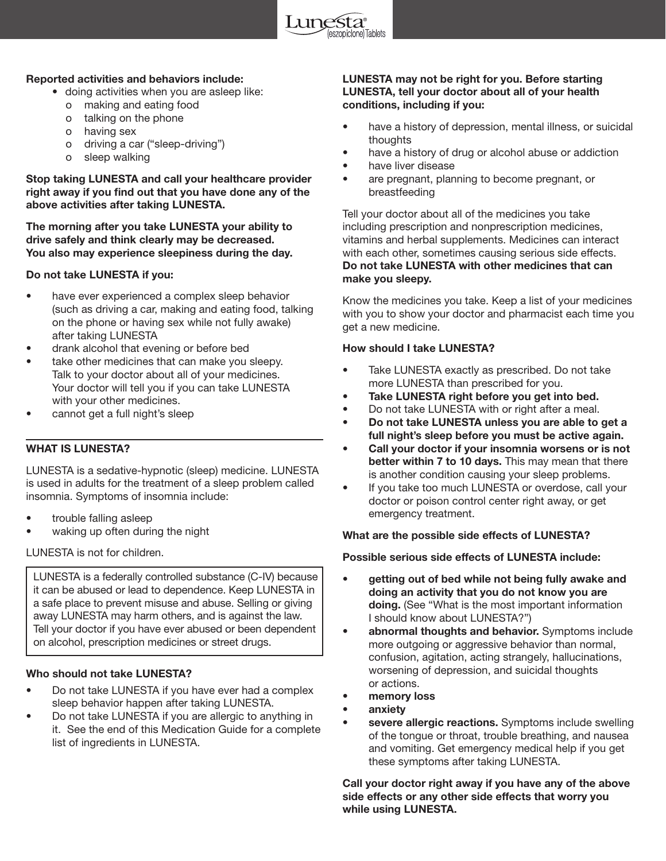

# **Reported activities and behaviors include:**

- doing activities when you are asleep like:
	- o making and eating food
	- o talking on the phone
	- o having sex
	- o driving a car ("sleep-driving")
	- o sleep walking

**Stop taking LUNESTA and call your healthcare provider right away if you find out that you have done any of the above activities after taking LUNESTA.**

**The morning after you take LUNESTA your ability to drive safely and think clearly may be decreased. You also may experience sleepiness during the day.** 

# **Do not take LUNESTA if you:**

- have ever experienced a complex sleep behavior (such as driving a car, making and eating food, talking on the phone or having sex while not fully awake) after taking LUNESTA
- drank alcohol that evening or before bed
- take other medicines that can make you sleepy. Talk to your doctor about all of your medicines. Your doctor will tell you if you can take LUNESTA with your other medicines.
- cannot get a full night's sleep

# **WHAT IS LUNESTA?**

LUNESTA is a sedative-hypnotic (sleep) medicine. LUNESTA is used in adults for the treatment of a sleep problem called insomnia. Symptoms of insomnia include:

- trouble falling asleep
- waking up often during the night

LUNESTA is not for children.

LUNESTA is a federally controlled substance (C-IV) because it can be abused or lead to dependence. Keep LUNESTA in a safe place to prevent misuse and abuse. Selling or giving away LUNESTA may harm others, and is against the law. Tell your doctor if you have ever abused or been dependent on alcohol, prescription medicines or street drugs.

# **Who should not take LUNESTA?**

- Do not take LUNESTA if you have ever had a complex sleep behavior happen after taking LUNESTA.
- Do not take LUNESTA if you are allergic to anything in it. See the end of this Medication Guide for a complete list of ingredients in LUNESTA.

# **LUNESTA may not be right for you. Before starting LUNESTA, tell your doctor about all of your health conditions, including if you:**

- have a history of depression, mental illness, or suicidal thoughts
- have a history of drug or alcohol abuse or addiction
- have liver disease
- are pregnant, planning to become pregnant, or breastfeeding

Tell your doctor about all of the medicines you take including prescription and nonprescription medicines, vitamins and herbal supplements. Medicines can interact with each other, sometimes causing serious side effects. **Do not take LUNESTA with other medicines that can make you sleepy.**

Know the medicines you take. Keep a list of your medicines with you to show your doctor and pharmacist each time you get a new medicine.

# **How should I take LUNESTA?**

- Take LUNESTA exactly as prescribed. Do not take more LUNESTA than prescribed for you.
- **Take LUNESTA right before you get into bed.**
- Do not take LUNESTA with or right after a meal.
- **Do not take LUNESTA unless you are able to get a full night's sleep before you must be active again.**
- **Call your doctor if your insomnia worsens or is not better within 7 to 10 days.** This may mean that there is another condition causing your sleep problems.
- If you take too much LUNESTA or overdose, call your doctor or poison control center right away, or get emergency treatment.

# **What are the possible side effects of LUNESTA?**

**Possible serious side effects of LUNESTA include:**

- **getting out of bed while not being fully awake and doing an activity that you do not know you are doing.** (See "What is the most important information I should know about LUNESTA?")
- **abnormal thoughts and behavior.** Symptoms include more outgoing or aggressive behavior than normal, confusion, agitation, acting strangely, hallucinations, worsening of depression, and suicidal thoughts or actions.
- **memory loss**
- **anxiety**
- severe allergic reactions. Symptoms include swelling of the tongue or throat, trouble breathing, and nausea and vomiting. Get emergency medical help if you get these symptoms after taking LUNESTA.

**Call your doctor right away if you have any of the above side effects or any other side effects that worry you while using LUNESTA.**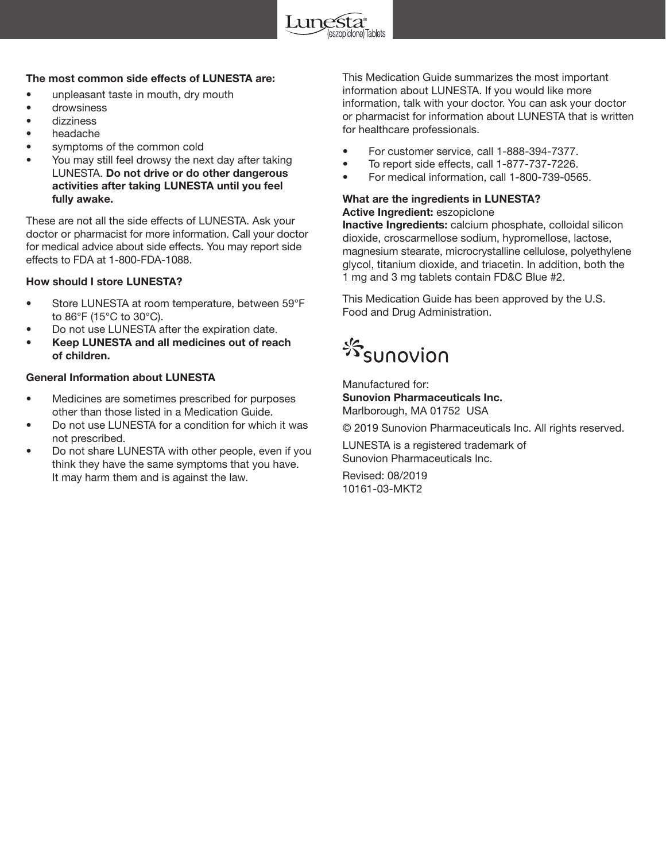

# **The most common side effects of LUNESTA are:**

- unpleasant taste in mouth, dry mouth
- drowsiness
- dizziness
- headache
- symptoms of the common cold
- You may still feel drowsy the next day after taking LUNESTA. **Do not drive or do other dangerous activities after taking LUNESTA until you feel fully awake.**

These are not all the side effects of LUNESTA. Ask your doctor or pharmacist for more information. Call your doctor for medical advice about side effects. You may report side effects to FDA at 1-800-FDA-1088.

# **How should I store LUNESTA?**

- Store LUNESTA at room temperature, between 59°F to 86°F (15°C to 30°C).
- Do not use LUNESTA after the expiration date.
- **Keep LUNESTA and all medicines out of reach of children.**

# **General Information about LUNESTA**

- Medicines are sometimes prescribed for purposes other than those listed in a Medication Guide.
- Do not use LUNESTA for a condition for which it was not prescribed.
- Do not share LUNESTA with other people, even if you think they have the same symptoms that you have. It may harm them and is against the law.

This Medication Guide summarizes the most important information about LUNESTA. If you would like more information, talk with your doctor. You can ask your doctor or pharmacist for information about LUNESTA that is written for healthcare professionals.

- For customer service, call 1-888-394-7377.
- To report side effects, call 1-877-737-7226.
- For medical information, call 1-800-739-0565.

## **What are the ingredients in LUNESTA? Active Ingredient:** eszopiclone

**Inactive Ingredients:** calcium phosphate, colloidal silicon dioxide, croscarmellose sodium, hypromellose, lactose, magnesium stearate, microcrystalline cellulose, polyethylene glycol, titanium dioxide, and triacetin. In addition, both the 1 mg and 3 mg tablets contain FD&C Blue #2.

This Medication Guide has been approved by the U.S. Food and Drug Administration.

# *S*sunovion

Manufactured for: **Sunovion Pharmaceuticals Inc.** Marlborough, MA 01752 USA

© 2019 Sunovion Pharmaceuticals Inc. All rights reserved.

LUNESTA is a registered trademark of Sunovion Pharmaceuticals Inc.

Revised: 08/2019 10161-03-MKT2